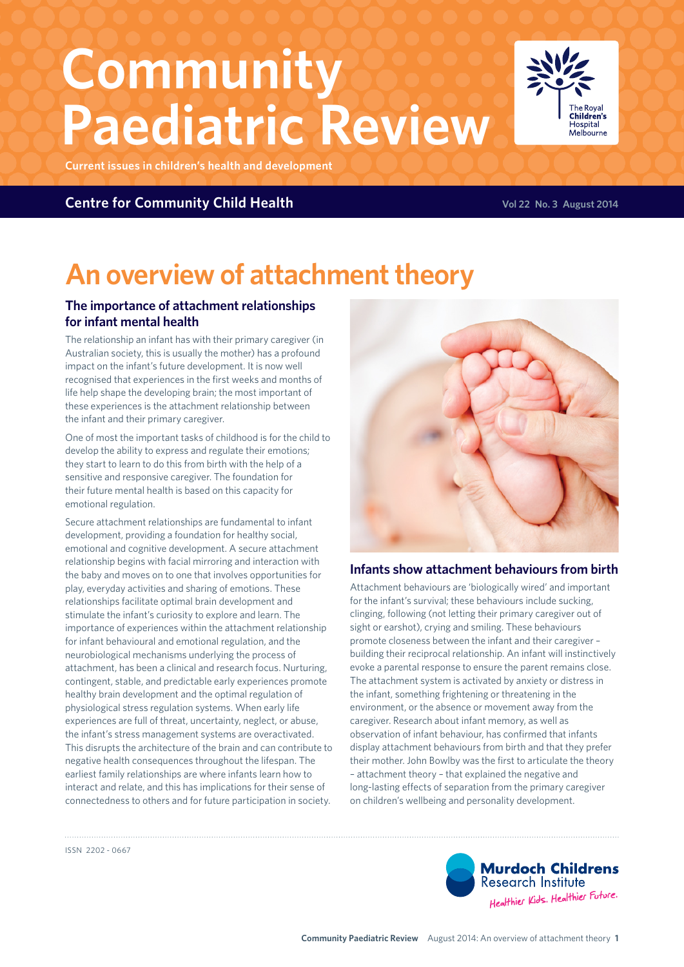# **Community Paediatric Review**

**Current issues in children's health and development**

#### **Centre for Community Child Health Volume 2014** Vol 22 No. 3 August 2014

## **An overview of attachment theory**

#### **The importance of attachment relationships for infant mental health**

The relationship an infant has with their primary caregiver (in Australian society, this is usually the mother) has a profound impact on the infant's future development. It is now well recognised that experiences in the first weeks and months of life help shape the developing brain; the most important of these experiences is the attachment relationship between the infant and their primary caregiver.

One of most the important tasks of childhood is for the child to develop the ability to express and regulate their emotions; they start to learn to do this from birth with the help of a sensitive and responsive caregiver. The foundation for their future mental health is based on this capacity for emotional regulation.

Secure attachment relationships are fundamental to infant development, providing a foundation for healthy social, emotional and cognitive development. A secure attachment relationship begins with facial mirroring and interaction with the baby and moves on to one that involves opportunities for play, everyday activities and sharing of emotions. These relationships facilitate optimal brain development and stimulate the infant's curiosity to explore and learn. The importance of experiences within the attachment relationship for infant behavioural and emotional regulation, and the neurobiological mechanisms underlying the process of attachment, has been a clinical and research focus. Nurturing, contingent, stable, and predictable early experiences promote healthy brain development and the optimal regulation of physiological stress regulation systems. When early life experiences are full of threat, uncertainty, neglect, or abuse, the infant's stress management systems are overactivated. This disrupts the architecture of the brain and can contribute to negative health consequences throughout the lifespan. The earliest family relationships are where infants learn how to interact and relate, and this has implications for their sense of connectedness to others and for future participation in society.



#### **Infants show attachment behaviours from birth**

Attachment behaviours are 'biologically wired' and important for the infant's survival; these behaviours include sucking, clinging, following (not letting their primary caregiver out of sight or earshot), crying and smiling. These behaviours promote closeness between the infant and their caregiver – building their reciprocal relationship. An infant will instinctively evoke a parental response to ensure the parent remains close. The attachment system is activated by anxiety or distress in the infant, something frightening or threatening in the environment, or the absence or movement away from the caregiver. Research about infant memory, as well as observation of infant behaviour, has confirmed that infants display attachment behaviours from birth and that they prefer their mother. John Bowlby was the first to articulate the theory – attachment theory – that explained the negative and long-lasting effects of separation from the primary caregiver on children's wellbeing and personality development.

ISSN 2202 - 0667



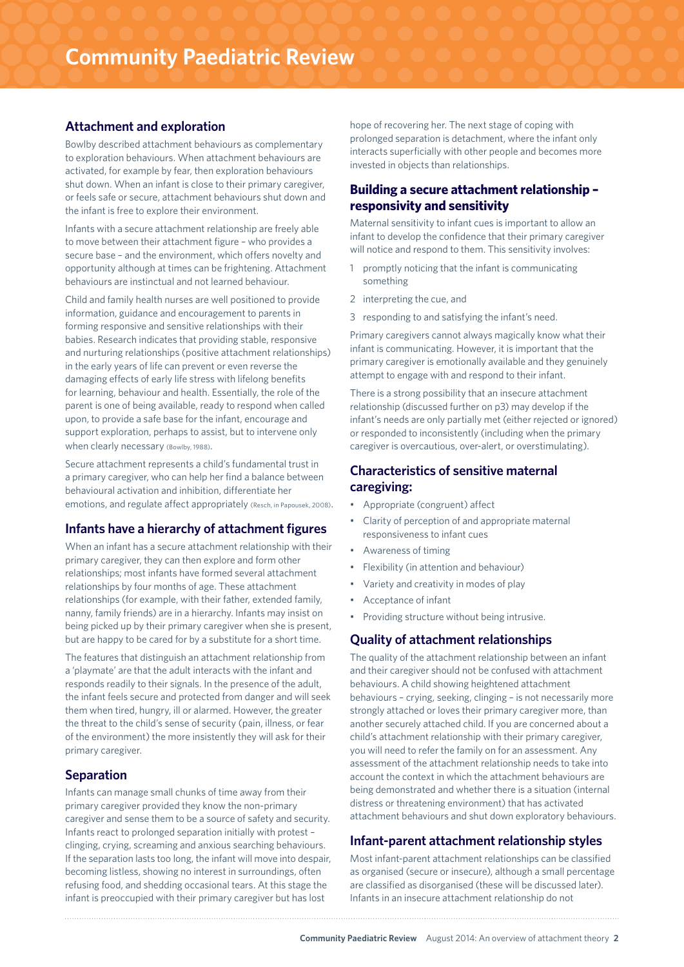#### **Attachment and exploration**

Bowlby described attachment behaviours as complementary to exploration behaviours. When attachment behaviours are activated, for example by fear, then exploration behaviours shut down. When an infant is close to their primary caregiver, or feels safe or secure, attachment behaviours shut down and the infant is free to explore their environment.

Infants with a secure attachment relationship are freely able to move between their attachment figure – who provides a secure base – and the environment, which offers novelty and opportunity although at times can be frightening. Attachment behaviours are instinctual and not learned behaviour.

Child and family health nurses are well positioned to provide information, guidance and encouragement to parents in forming responsive and sensitive relationships with their babies. Research indicates that providing stable, responsive and nurturing relationships (positive attachment relationships) in the early years of life can prevent or even reverse the damaging effects of early life stress with lifelong benefits for learning, behaviour and health. Essentially, the role of the parent is one of being available, ready to respond when called upon, to provide a safe base for the infant, encourage and support exploration, perhaps to assist, but to intervene only when clearly necessary (Bowlby, 1988).

Secure attachment represents a child's fundamental trust in a primary caregiver, who can help her find a balance between behavioural activation and inhibition, differentiate her emotions, and regulate affect appropriately (Resch, in Papousek, 2008).

#### **Infants have a hierarchy of attachment figures**

When an infant has a secure attachment relationship with their primary caregiver, they can then explore and form other relationships; most infants have formed several attachment relationships by four months of age. These attachment relationships (for example, with their father, extended family, nanny, family friends) are in a hierarchy. Infants may insist on being picked up by their primary caregiver when she is present, but are happy to be cared for by a substitute for a short time.

The features that distinguish an attachment relationship from a 'playmate' are that the adult interacts with the infant and responds readily to their signals. In the presence of the adult, the infant feels secure and protected from danger and will seek them when tired, hungry, ill or alarmed. However, the greater the threat to the child's sense of security (pain, illness, or fear of the environment) the more insistently they will ask for their primary caregiver.

#### **Separation**

Infants can manage small chunks of time away from their primary caregiver provided they know the non-primary caregiver and sense them to be a source of safety and security. Infants react to prolonged separation initially with protest – clinging, crying, screaming and anxious searching behaviours. If the separation lasts too long, the infant will move into despair, becoming listless, showing no interest in surroundings, often refusing food, and shedding occasional tears. At this stage the infant is preoccupied with their primary caregiver but has lost

hope of recovering her. The next stage of coping with prolonged separation is detachment, where the infant only interacts superficially with other people and becomes more invested in objects than relationships.

#### **Building a secure attachment relationship – responsivity and sensitivity**

Maternal sensitivity to infant cues is important to allow an infant to develop the confidence that their primary caregiver will notice and respond to them. This sensitivity involves:

- 1 promptly noticing that the infant is communicating something
- 2 interpreting the cue, and
- 3 responding to and satisfying the infant's need.

Primary caregivers cannot always magically know what their infant is communicating. However, it is important that the primary caregiver is emotionally available and they genuinely attempt to engage with and respond to their infant.

There is a strong possibility that an insecure attachment relationship (discussed further on p3) may develop if the infant's needs are only partially met (either rejected or ignored) or responded to inconsistently (including when the primary caregiver is overcautious, over-alert, or overstimulating).

#### **Characteristics of sensitive maternal caregiving:**

- Appropriate (congruent) affect
- Clarity of perception of and appropriate maternal responsiveness to infant cues
- Awareness of timing
- Flexibility (in attention and behaviour)
- Variety and creativity in modes of play
- Acceptance of infant
- Providing structure without being intrusive.

#### **Quality of attachment relationships**

The quality of the attachment relationship between an infant and their caregiver should not be confused with attachment behaviours. A child showing heightened attachment behaviours – crying, seeking, clinging – is not necessarily more strongly attached or loves their primary caregiver more, than another securely attached child. If you are concerned about a child's attachment relationship with their primary caregiver, you will need to refer the family on for an assessment. Any assessment of the attachment relationship needs to take into account the context in which the attachment behaviours are being demonstrated and whether there is a situation (internal distress or threatening environment) that has activated attachment behaviours and shut down exploratory behaviours.

#### **Infant-parent attachment relationship styles**

Most infant-parent attachment relationships can be classified as organised (secure or insecure), although a small percentage are classified as disorganised (these will be discussed later). Infants in an insecure attachment relationship do not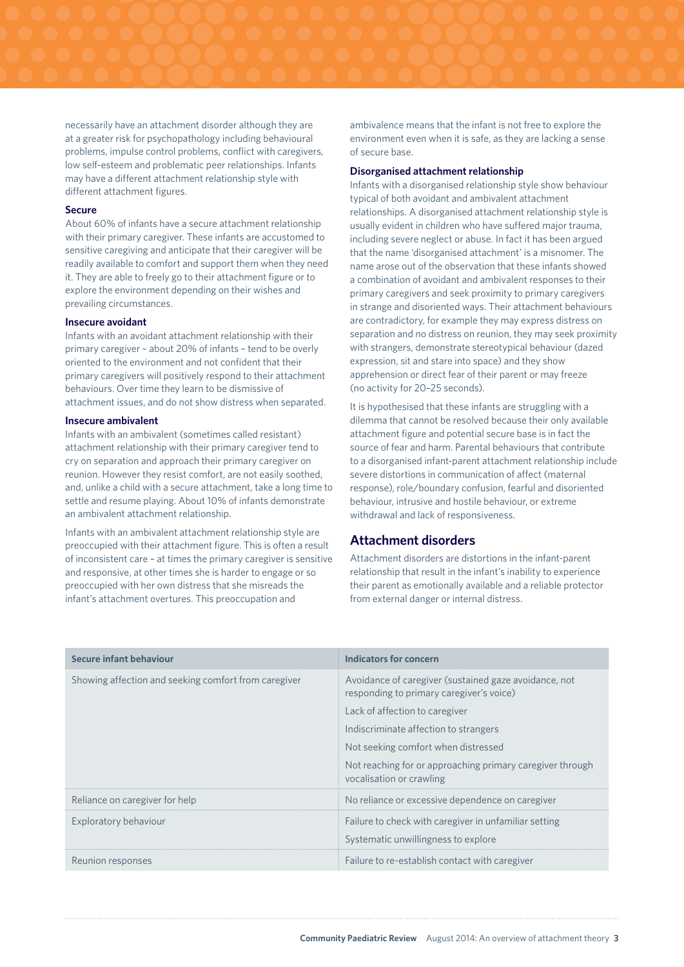necessarily have an attachment disorder although they are at a greater risk for psychopathology including behavioural problems, impulse control problems, conflict with caregivers, low self-esteem and problematic peer relationships. Infants may have a different attachment relationship style with different attachment figures.

#### **Secure**

About 60% of infants have a secure attachment relationship with their primary caregiver. These infants are accustomed to sensitive caregiving and anticipate that their caregiver will be readily available to comfort and support them when they need it. They are able to freely go to their attachment figure or to explore the environment depending on their wishes and prevailing circumstances.

#### **Insecure avoidant**

Infants with an avoidant attachment relationship with their primary caregiver – about 20% of infants – tend to be overly oriented to the environment and not confident that their primary caregivers will positively respond to their attachment behaviours. Over time they learn to be dismissive of attachment issues, and do not show distress when separated.

#### **Insecure ambivalent**

Infants with an ambivalent (sometimes called resistant) attachment relationship with their primary caregiver tend to cry on separation and approach their primary caregiver on reunion. However they resist comfort, are not easily soothed, and, unlike a child with a secure attachment, take a long time to settle and resume playing. About 10% of infants demonstrate an ambivalent attachment relationship.

Infants with an ambivalent attachment relationship style are preoccupied with their attachment figure. This is often a result of inconsistent care – at times the primary caregiver is sensitive and responsive, at other times she is harder to engage or so preoccupied with her own distress that she misreads the infant's attachment overtures. This preoccupation and

ambivalence means that the infant is not free to explore the environment even when it is safe, as they are lacking a sense of secure base.

#### **Disorganised attachment relationship**

Infants with a disorganised relationship style show behaviour typical of both avoidant and ambivalent attachment relationships. A disorganised attachment relationship style is usually evident in children who have suffered major trauma, including severe neglect or abuse. In fact it has been argued that the name 'disorganised attachment' is a misnomer. The name arose out of the observation that these infants showed a combination of avoidant and ambivalent responses to their primary caregivers and seek proximity to primary caregivers in strange and disoriented ways. Their attachment behaviours are contradictory, for example they may express distress on separation and no distress on reunion, they may seek proximity with strangers, demonstrate stereotypical behaviour (dazed expression, sit and stare into space) and they show apprehension or direct fear of their parent or may freeze (no activity for 20–25 seconds).

It is hypothesised that these infants are struggling with a dilemma that cannot be resolved because their only available attachment figure and potential secure base is in fact the source of fear and harm. Parental behaviours that contribute to a disorganised infant-parent attachment relationship include severe distortions in communication of affect (maternal response), role/boundary confusion, fearful and disoriented behaviour, intrusive and hostile behaviour, or extreme withdrawal and lack of responsiveness.

#### **Attachment disorders**

Attachment disorders are distortions in the infant-parent relationship that result in the infant's inability to experience their parent as emotionally available and a reliable protector from external danger or internal distress.

| Secure infant behaviour                              | Indicators for concern                                                                            |
|------------------------------------------------------|---------------------------------------------------------------------------------------------------|
| Showing affection and seeking comfort from caregiver | Avoidance of caregiver (sustained gaze avoidance, not<br>responding to primary caregiver's voice) |
|                                                      | Lack of affection to caregiver                                                                    |
|                                                      | Indiscriminate affection to strangers                                                             |
|                                                      | Not seeking comfort when distressed                                                               |
|                                                      | Not reaching for or approaching primary caregiver through<br>vocalisation or crawling             |
| Reliance on caregiver for help                       | No reliance or excessive dependence on caregiver                                                  |
| Exploratory behaviour                                | Failure to check with caregiver in unfamiliar setting                                             |
|                                                      | Systematic unwillingness to explore                                                               |
| Reunion responses                                    | Failure to re-establish contact with caregiver                                                    |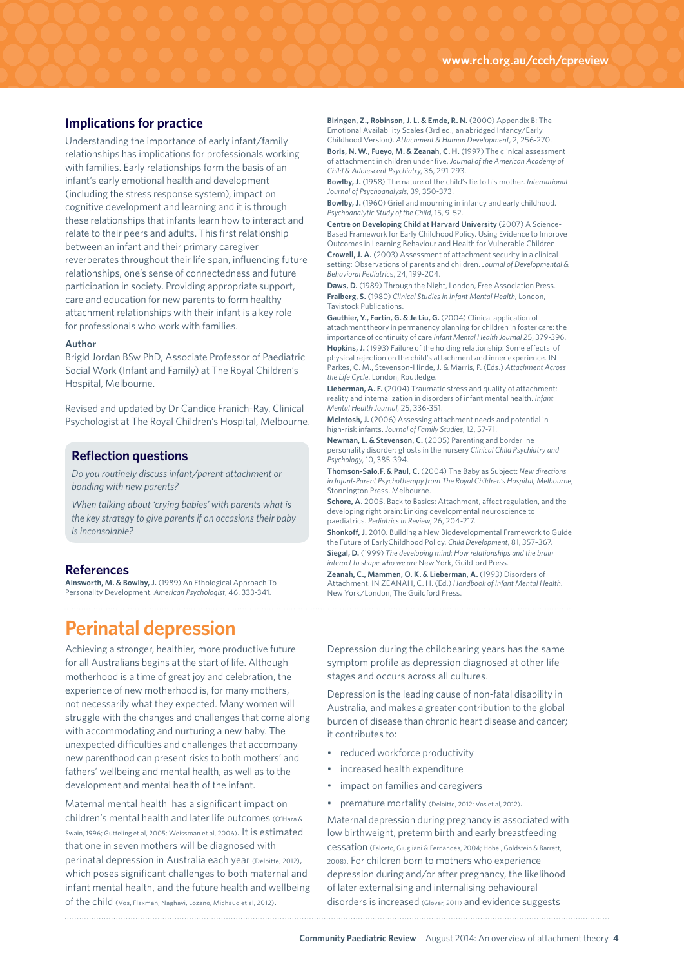#### **Implications for practice**

Understanding the importance of early infant/family relationships has implications for professionals working with families. Early relationships form the basis of an infant's early emotional health and development (including the stress response system), impact on cognitive development and learning and it is through these relationships that infants learn how to interact and relate to their peers and adults. This first relationship between an infant and their primary caregiver reverberates throughout their life span, influencing future relationships, one's sense of connectedness and future participation in society. Providing appropriate support, care and education for new parents to form healthy attachment relationships with their infant is a key role for professionals who work with families.

#### **Author**

Brigid Jordan BSw PhD, Associate Professor of Paediatric Social Work (Infant and Family) at The Royal Children's Hospital, Melbourne.

Revised and updated by Dr Candice Franich-Ray, Clinical Psychologist at The Royal Children's Hospital, Melbourne.

#### **Reflection questions**

*Do you routinely discuss infant/parent attachment or bonding with new parents?* 

*When talking about 'crying babies' with parents what is the key strategy to give parents if on occasions their baby is inconsolable?* 

#### **References**

**Ainsworth, M. & Bowlby, J.** (1989) An Ethological Approach To Personality Development. *American Psychologist*, 46, 333-341.

### **Perinatal depression**

Achieving a stronger, healthier, more productive future for all Australians begins at the start of life. Although motherhood is a time of great joy and celebration, the experience of new motherhood is, for many mothers, not necessarily what they expected. Many women will struggle with the changes and challenges that come along with accommodating and nurturing a new baby. The unexpected difficulties and challenges that accompany new parenthood can present risks to both mothers' and fathers' wellbeing and mental health, as well as to the development and mental health of the infant.

Maternal mental health has a significant impact on children's mental health and later life outcomes (O'Hara & Swain, 1996; Gutteling et al, 2005; Weissman et al, 2006). It is estimated that one in seven mothers will be diagnosed with perinatal depression in Australia each year (Deloitte, 2012), which poses significant challenges to both maternal and infant mental health, and the future health and wellbeing of the child (Vos, Flaxman, Naghavi, Lozano, Michaud et al, 2012).

**Biringen, Z., Robinson, J. L. & Emde, R. N.** (2000) Appendix B: The Emotional Availability Scales (3rd ed.; an abridged Infancy/Early Childhood Version). *Attachment & Human Development*, 2, 256-270. **Boris, N. W., Fueyo, M. & Zeanah, C. H.** (1997) The clinical assessment of attachment in children under five. *Journal of the American Academy of* 

*Child & Adolescent Psychiatry*, 36, 291-293. **Bowlby, J.** (1958) The nature of the child's tie to his mother. *International Journal of Psychoanalysis*, 39, 350-373.

**Bowlby, J.** (1960) Grief and mourning in infancy and early childhood. *Psychoanalytic Study of the Child*, 15, 9-52.

**Centre on Developing Child at Harvard University** (2007) A Science-Based Framework for Early Childhood Policy. Using Evidence to Improve Outcomes in Learning Behaviour and Health for Vulnerable Children **Crowell, J. A.** (2003) Assessment of attachment security in a clinical setting: Observations of parents and children. J*ournal of Developmental & Behavioral Pediatric*s, 24, 199-204.

**Daws, D.** (1989) Through the Night, London, Free Association Press. **Fraiberg, S.** (1980) *Clinical Studies in Infant Mental Health*, London, Tavistock Publications.

**Gauthier, Y., Fortin, G. & Je Liu, G.**(2004) Clinical application of attachment theory in permanency planning for children in foster care: the importance of continuity of care *Infant Mental Health Journal* 25, 379-396. **Hopkins, J.** (1993) Failure of the holding relationship: Some effects of

physical rejection on the child's attachment and inner experience. IN Parkes, C. M., Stevenson-Hinde, J. & Marris, P. (Eds.) *Attachment Across the Life Cycle*. London, Routledge.

**Lieberman, A. F.** (2004) Traumatic stress and quality of attachment: reality and internalization in disorders of infant mental health. *Infant Mental Health Journal*, 25, 336-351.

**McIntosh, J.** (2006) Assessing attachment needs and potential in high-risk infants. *Journal of Family Studies*, 12, 57-71.

**Newman, L. & Stevenson, C.** (2005) Parenting and borderline personality disorder: ghosts in the nursery *Clinical Child Psychiatry and Psychology*, 10, 385-394.

**Thomson-Salo,F. & Paul, C.** (2004) The Baby as Subject: *New directions in Infant-Parent Psychotherapy from The Royal Children's Hospital, Melbourne*, Stonnington Press. Melbourne.

**Schore, A.** 2005. Back to Basics: Attachment, affect regulation, and the developing right brain: Linking developmental neuroscience to paediatrics. *Pediatrics in Review*, 26, 204-217.

**Shonkoff, J.** 2010. Building a New Biodevelopmental Framework to Guide the Future of EarlyChildhood Policy. *Child Development*, 81, 357–367. **Siegal, D.** (1999) *The developing mind: How relationships and the brain interact to shape who we are* New York, Guildford Press.

**Zeanah, C., Mammen, O. K. & Lieberman, A.** (1993) Disorders of Attachment. IN ZEANAH, C. H. (Ed.) *Handbook of Infant Mental Health*. New York/London, The Guildford Press.

Depression during the childbearing years has the same symptom profile as depression diagnosed at other life stages and occurs across all cultures.

Depression is the leading cause of non-fatal disability in Australia, and makes a greater contribution to the global burden of disease than chronic heart disease and cancer; it contributes to:

- reduced workforce productivity
- increased health expenditure
- impact on families and caregivers
- premature mortality (Deloitte, 2012; Vos et al, 2012).

Maternal depression during pregnancy is associated with low birthweight, preterm birth and early breastfeeding cessation (Falceto, Giugliani & Fernandes, 2004; Hobel, Goldstein & Barrett, 2008). For children born to mothers who experience depression during and/or after pregnancy, the likelihood of later externalising and internalising behavioural disorders is increased (Glover, 2011) and evidence suggests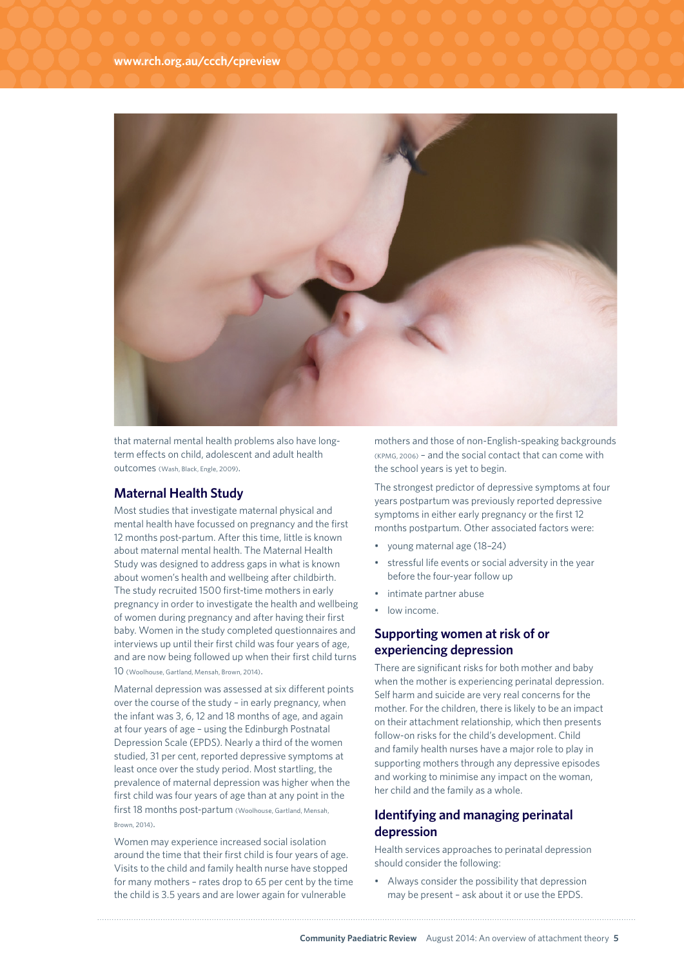

that maternal mental health problems also have longterm effects on child, adolescent and adult health outcomes (Wash, Black, Engle, 2009).

#### **Maternal Health Study**

Most studies that investigate maternal physical and mental health have focussed on pregnancy and the first 12 months post-partum. After this time, little is known about maternal mental health. The Maternal Health Study was designed to address gaps in what is known about women's health and wellbeing after childbirth. The study recruited 1500 first-time mothers in early pregnancy in order to investigate the health and wellbeing of women during pregnancy and after having their first baby. Women in the study completed questionnaires and interviews up until their first child was four years of age, and are now being followed up when their first child turns 10 (Woolhouse, Gartland, Mensah, Brown, 2014).

Maternal depression was assessed at six different points over the course of the study – in early pregnancy, when the infant was 3, 6, 12 and 18 months of age, and again at four years of age – using the Edinburgh Postnatal Depression Scale (EPDS). Nearly a third of the women studied, 31 per cent, reported depressive symptoms at least once over the study period. Most startling, the prevalence of maternal depression was higher when the first child was four years of age than at any point in the first 18 months post-partum (Woolhouse, Gartland, Mensah, Brown, 2014).

Women may experience increased social isolation around the time that their first child is four years of age. Visits to the child and family health nurse have stopped for many mothers – rates drop to 65 per cent by the time the child is 3.5 years and are lower again for vulnerable

mothers and those of non-English-speaking backgrounds (KPMG, 2006) – and the social contact that can come with the school years is yet to begin.

The strongest predictor of depressive symptoms at four years postpartum was previously reported depressive symptoms in either early pregnancy or the first 12 months postpartum. Other associated factors were:

- young maternal age (18–24)
- stressful life events or social adversity in the year before the four-year follow up
- intimate partner abuse
- low income.

#### **Supporting women at risk of or experiencing depression**

There are significant risks for both mother and baby when the mother is experiencing perinatal depression. Self harm and suicide are very real concerns for the mother. For the children, there is likely to be an impact on their attachment relationship, which then presents follow-on risks for the child's development. Child and family health nurses have a major role to play in supporting mothers through any depressive episodes and working to minimise any impact on the woman, her child and the family as a whole.

#### **Identifying and managing perinatal depression**

Health services approaches to perinatal depression should consider the following:

• Always consider the possibility that depression may be present – ask about it or use the EPDS.